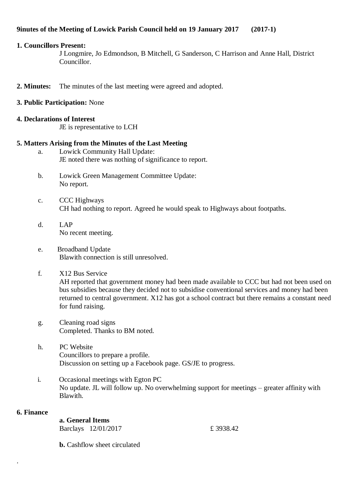# **9inutes of the Meeting of Lowick Parish Council held on 19 January 2017 (2017-1)**

## **1. Councillors Present:**

J Longmire, Jo Edmondson, B Mitchell, G Sanderson, C Harrison and Anne Hall, District Councillor.

- **2. Minutes:** The minutes of the last meeting were agreed and adopted.
- **3. Public Participation:** None
- **4. Declarations of Interest**
	- JE is representative to LCH

# **5. Matters Arising from the Minutes of the Last Meeting**

- a. Lowick Community Hall Update: JE noted there was nothing of significance to report.
- b. Lowick Green Management Committee Update: No report.
- c. CCC Highways CH had nothing to report. Agreed he would speak to Highways about footpaths.
- d. LAP No recent meeting.
- e. Broadband Update Blawith connection is still unresolved.
- f. X12 Bus Service

AH reported that government money had been made available to CCC but had not been used on bus subsidies because they decided not to subsidise conventional services and money had been returned to central government. X12 has got a school contract but there remains a constant need for fund raising.

- g. Cleaning road signs Completed. Thanks to BM noted.
- h. PC Website Councillors to prepare a profile. Discussion on setting up a Facebook page. GS/JE to progress.
- i. Occasional meetings with Egton PC No update. JL will follow up. No overwhelming support for meetings – greater affinity with Blawith.

# **6. Finance**

.

| a. General Items |                     |
|------------------|---------------------|
|                  | Barclays 12/01/2017 |

£ 3938.42

**b.** Cashflow sheet circulated